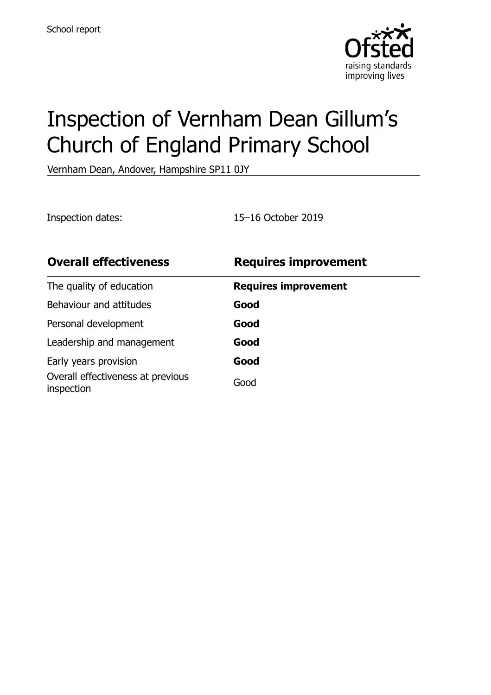

# Inspection of Vernham Dean Gillum's Church of England Primary School

Vernham Dean, Andover, Hampshire SP11 0JY

Inspection dates: 15–16 October 2019

| <b>Overall effectiveness</b>                    | <b>Requires improvement</b> |
|-------------------------------------------------|-----------------------------|
| The quality of education                        | <b>Requires improvement</b> |
| Behaviour and attitudes                         | Good                        |
| Personal development                            | Good                        |
| Leadership and management                       | Good                        |
| Early years provision                           | Good                        |
| Overall effectiveness at previous<br>inspection | Good                        |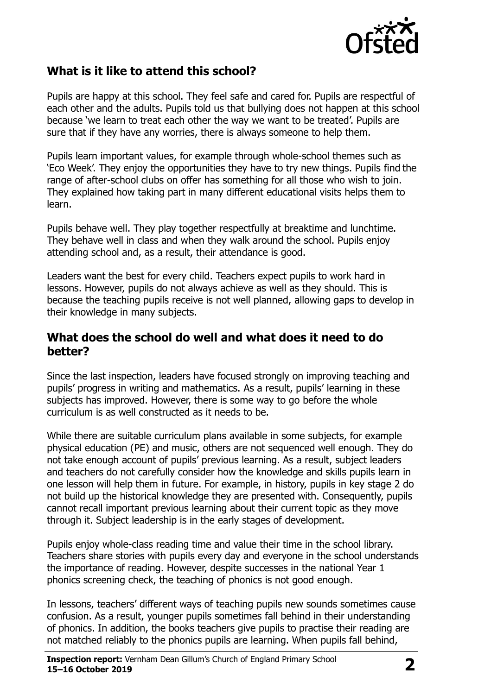

## **What is it like to attend this school?**

Pupils are happy at this school. They feel safe and cared for. Pupils are respectful of each other and the adults. Pupils told us that bullying does not happen at this school because 'we learn to treat each other the way we want to be treated'. Pupils are sure that if they have any worries, there is always someone to help them.

Pupils learn important values, for example through whole-school themes such as 'Eco Week'. They enjoy the opportunities they have to try new things. Pupils find the range of after-school clubs on offer has something for all those who wish to join. They explained how taking part in many different educational visits helps them to learn.

Pupils behave well. They play together respectfully at breaktime and lunchtime. They behave well in class and when they walk around the school. Pupils enjoy attending school and, as a result, their attendance is good.

Leaders want the best for every child. Teachers expect pupils to work hard in lessons. However, pupils do not always achieve as well as they should. This is because the teaching pupils receive is not well planned, allowing gaps to develop in their knowledge in many subjects.

## **What does the school do well and what does it need to do better?**

Since the last inspection, leaders have focused strongly on improving teaching and pupils' progress in writing and mathematics. As a result, pupils' learning in these subjects has improved. However, there is some way to go before the whole curriculum is as well constructed as it needs to be.

While there are suitable curriculum plans available in some subjects, for example physical education (PE) and music, others are not sequenced well enough. They do not take enough account of pupils' previous learning. As a result, subject leaders and teachers do not carefully consider how the knowledge and skills pupils learn in one lesson will help them in future. For example, in history, pupils in key stage 2 do not build up the historical knowledge they are presented with. Consequently, pupils cannot recall important previous learning about their current topic as they move through it. Subject leadership is in the early stages of development.

Pupils enjoy whole-class reading time and value their time in the school library. Teachers share stories with pupils every day and everyone in the school understands the importance of reading. However, despite successes in the national Year 1 phonics screening check, the teaching of phonics is not good enough.

In lessons, teachers' different ways of teaching pupils new sounds sometimes cause confusion. As a result, younger pupils sometimes fall behind in their understanding of phonics. In addition, the books teachers give pupils to practise their reading are not matched reliably to the phonics pupils are learning. When pupils fall behind,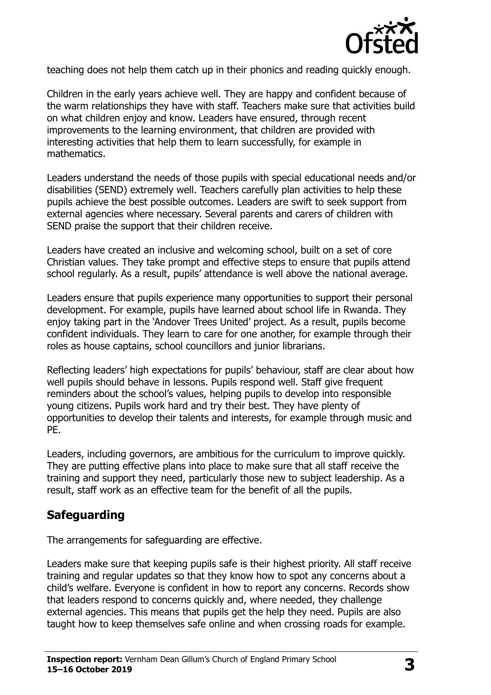

teaching does not help them catch up in their phonics and reading quickly enough.

Children in the early years achieve well. They are happy and confident because of the warm relationships they have with staff. Teachers make sure that activities build on what children enjoy and know. Leaders have ensured, through recent improvements to the learning environment, that children are provided with interesting activities that help them to learn successfully, for example in mathematics.

Leaders understand the needs of those pupils with special educational needs and/or disabilities (SEND) extremely well. Teachers carefully plan activities to help these pupils achieve the best possible outcomes. Leaders are swift to seek support from external agencies where necessary. Several parents and carers of children with SEND praise the support that their children receive.

Leaders have created an inclusive and welcoming school, built on a set of core Christian values. They take prompt and effective steps to ensure that pupils attend school regularly. As a result, pupils' attendance is well above the national average.

Leaders ensure that pupils experience many opportunities to support their personal development. For example, pupils have learned about school life in Rwanda. They enjoy taking part in the 'Andover Trees United' project. As a result, pupils become confident individuals. They learn to care for one another, for example through their roles as house captains, school councillors and junior librarians.

Reflecting leaders' high expectations for pupils' behaviour, staff are clear about how well pupils should behave in lessons. Pupils respond well. Staff give frequent reminders about the school's values, helping pupils to develop into responsible young citizens. Pupils work hard and try their best. They have plenty of opportunities to develop their talents and interests, for example through music and PE.

Leaders, including governors, are ambitious for the curriculum to improve quickly. They are putting effective plans into place to make sure that all staff receive the training and support they need, particularly those new to subject leadership. As a result, staff work as an effective team for the benefit of all the pupils.

# **Safeguarding**

The arrangements for safeguarding are effective.

Leaders make sure that keeping pupils safe is their highest priority. All staff receive training and regular updates so that they know how to spot any concerns about a child's welfare. Everyone is confident in how to report any concerns. Records show that leaders respond to concerns quickly and, where needed, they challenge external agencies. This means that pupils get the help they need. Pupils are also taught how to keep themselves safe online and when crossing roads for example.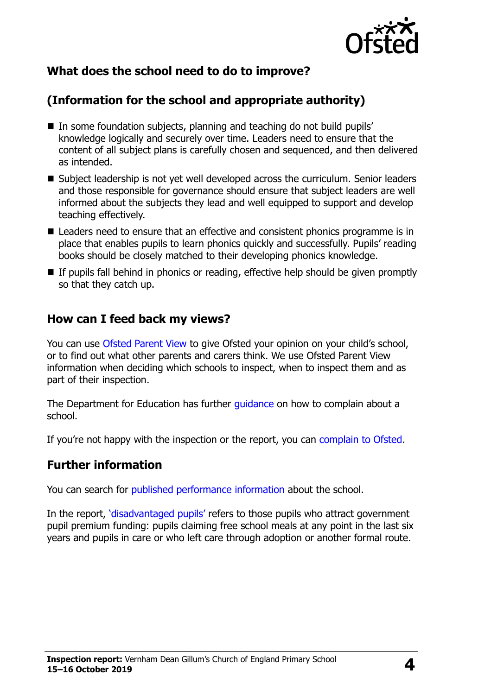

## **What does the school need to do to improve?**

## **(Information for the school and appropriate authority)**

- In some foundation subjects, planning and teaching do not build pupils' knowledge logically and securely over time. Leaders need to ensure that the content of all subject plans is carefully chosen and sequenced, and then delivered as intended.
- Subject leadership is not yet well developed across the curriculum. Senior leaders and those responsible for governance should ensure that subject leaders are well informed about the subjects they lead and well equipped to support and develop teaching effectively.
- Leaders need to ensure that an effective and consistent phonics programme is in place that enables pupils to learn phonics quickly and successfully. Pupils' reading books should be closely matched to their developing phonics knowledge.
- If pupils fall behind in phonics or reading, effective help should be given promptly so that they catch up.

## **How can I feed back my views?**

You can use [Ofsted Parent View](http://parentview.ofsted.gov.uk/) to give Ofsted your opinion on your child's school, or to find out what other parents and carers think. We use Ofsted Parent View information when deciding which schools to inspect, when to inspect them and as part of their inspection.

The Department for Education has further quidance on how to complain about a school.

If you're not happy with the inspection or the report, you can [complain to Ofsted.](http://www.gov.uk/complain-ofsted-report)

#### **Further information**

You can search for [published performance information](http://www.compare-school-performance.service.gov.uk/) about the school.

In the report, '[disadvantaged pupils](http://www.gov.uk/guidance/pupil-premium-information-for-schools-and-alternative-provision-settings)' refers to those pupils who attract government pupil premium funding: pupils claiming free school meals at any point in the last six years and pupils in care or who left care through adoption or another formal route.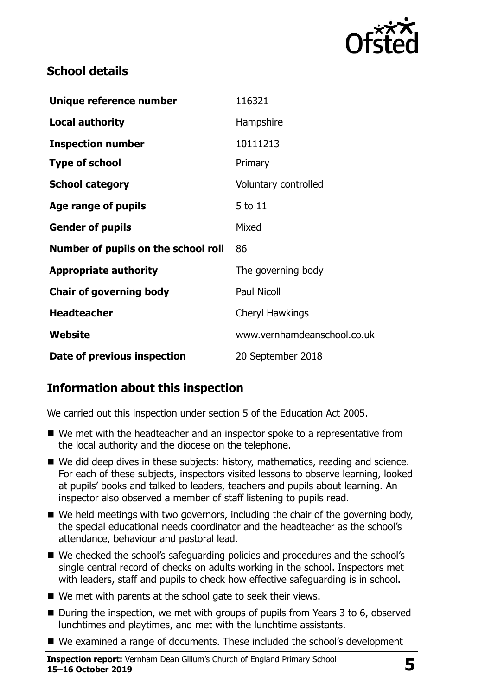

## **School details**

| Unique reference number             | 116321                      |
|-------------------------------------|-----------------------------|
| <b>Local authority</b>              | Hampshire                   |
| <b>Inspection number</b>            | 10111213                    |
| <b>Type of school</b>               | Primary                     |
| <b>School category</b>              | Voluntary controlled        |
| Age range of pupils                 | 5 to 11                     |
| <b>Gender of pupils</b>             | Mixed                       |
| Number of pupils on the school roll | 86                          |
| <b>Appropriate authority</b>        | The governing body          |
| <b>Chair of governing body</b>      | <b>Paul Nicoll</b>          |
| <b>Headteacher</b>                  | Cheryl Hawkings             |
| Website                             | www.vernhamdeanschool.co.uk |
| Date of previous inspection         | 20 September 2018           |

# **Information about this inspection**

We carried out this inspection under section 5 of the Education Act 2005.

- We met with the headteacher and an inspector spoke to a representative from the local authority and the diocese on the telephone.
- We did deep dives in these subjects: history, mathematics, reading and science. For each of these subjects, inspectors visited lessons to observe learning, looked at pupils' books and talked to leaders, teachers and pupils about learning. An inspector also observed a member of staff listening to pupils read.
- We held meetings with two governors, including the chair of the governing body, the special educational needs coordinator and the headteacher as the school's attendance, behaviour and pastoral lead.
- We checked the school's safeguarding policies and procedures and the school's single central record of checks on adults working in the school. Inspectors met with leaders, staff and pupils to check how effective safeguarding is in school.
- We met with parents at the school gate to seek their views.
- $\blacksquare$  During the inspection, we met with groups of pupils from Years 3 to 6, observed lunchtimes and playtimes, and met with the lunchtime assistants.
- We examined a range of documents. These included the school's development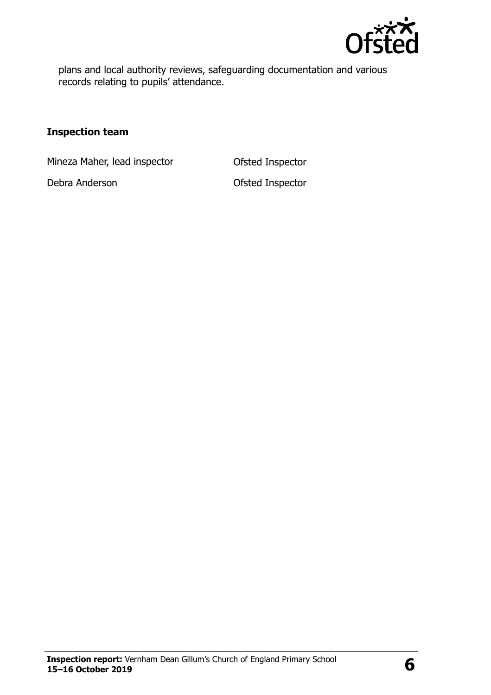

plans and local authority reviews, safeguarding documentation and various records relating to pupils' attendance.

#### **Inspection team**

Mineza Maher, lead inspector **Ofsted Inspector** 

Debra Anderson **Debra Anderson** Ofsted Inspector